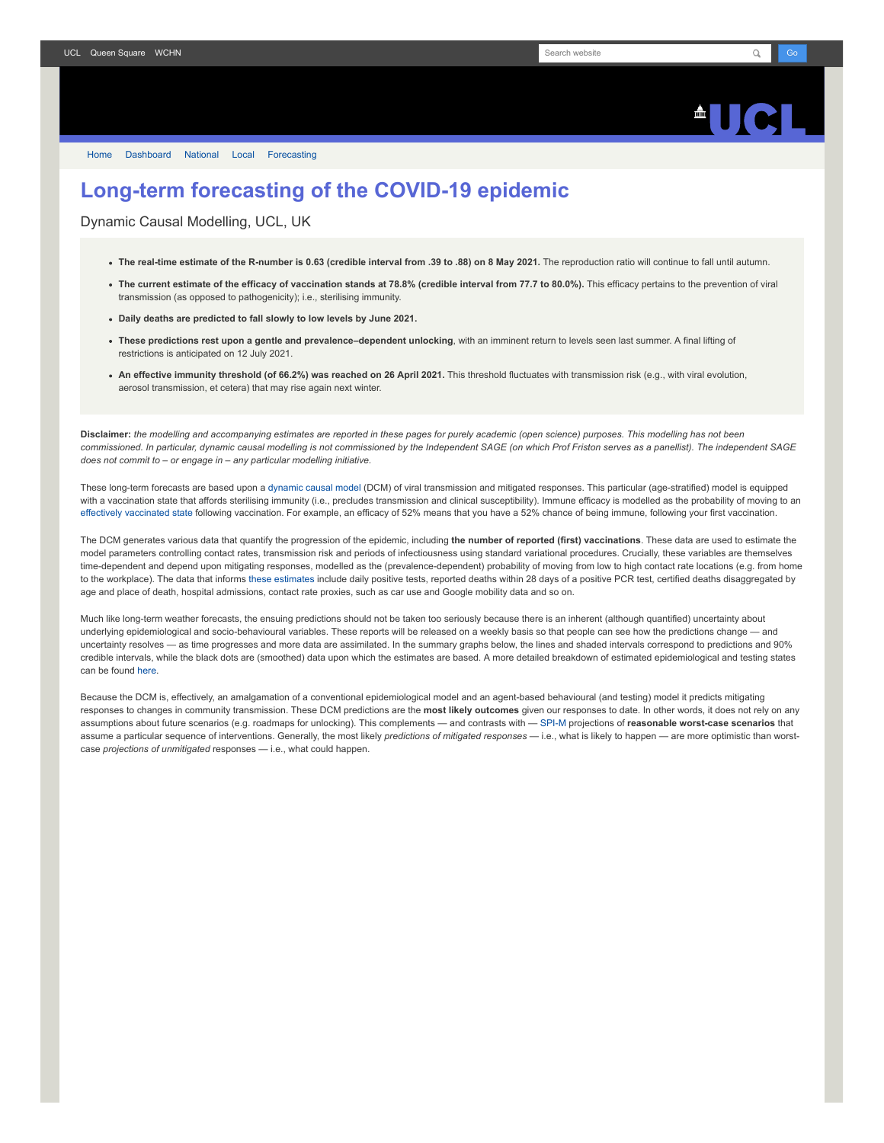## $\triangle$ ll $\triangle$

[Home](https://www.fil.ion.ucl.ac.uk/spm/covid-19/) [Dashboard](https://www.fil.ion.ucl.ac.uk/spm/covid-19/dashboard/) [National](https://www.fil.ion.ucl.ac.uk/spm/covid-19/dashboard/) [Local](https://www.fil.ion.ucl.ac.uk/spm/covid-19/dashboard/local/) [Forecasting](https://www.fil.ion.ucl.ac.uk/spm/covid-19/forecasting/)

## **Long-term forecasting of the COVID-19 epidemic**

Dynamic Causal Modelling, UCL, UK

- **The real-time estimate of the R-number is 0.63 (credible interval from .39 to .88) on 8 May 2021.** The reproduction ratio will continue to fall until autumn.
- **The current estimate of the efficacy of vaccination stands at 78.8% (credible interval from 77.7 to 80.0%).** This efficacy pertains to the prevention of viral transmission (as opposed to pathogenicity); i.e., sterilising immunity.
- **Daily deaths are predicted to fall slowly to low levels by June 2021.**
- **These predictions rest upon a gentle and prevalence–dependent unlocking**, with an imminent return to levels seen last summer. A final lifting of restrictions is anticipated on 12 July 2021.
- **An effective immunity threshold (of 66.2%) was reached on 26 April 2021.** This threshold fluctuates with transmission risk (e.g., with viral evolution, aerosol transmission, et cetera) that may rise again next winter.

**Disclaimer:** *the modelling and accompanying estimates are reported in these pages for purely academic (open science) purposes. This modelling has not been commissioned. In particular, dynamic causal modelling is not commissioned by the Independent SAGE (on which Prof Friston serves as a panellist). The independent SAGE does not commit to – or engage in – any particular modelling initiative.*

These long-term forecasts are based upon a [dynamic causal model](https://www.fil.ion.ucl.ac.uk/spm/covid-19) (DCM) of viral transmission and mitigated responses. This particular (age-stratified) model is equipped with a vaccination state that affords sterilising immunity (i.e., precludes transmission and clinical susceptibility). Immune efficacy is modelled as the probability of moving to an [effectively vaccinated state](https://www.medrxiv.org/content/10.1101/2021.01.10.21249520v1) following vaccination. For example, an efficacy of 52% means that you have a 52% chance of being immune, following your first vaccination.

The DCM generates various data that quantify the progression of the epidemic, including **the number of reported (first) vaccinations**. These data are used to estimate the model parameters controlling contact rates, transmission risk and periods of infectiousness using standard variational procedures. Crucially, these variables are themselves time-dependent and depend upon mitigating responses, modelled as the (prevalence-dependent) probability of moving from low to high contact rate locations (e.g. from home to the workplace). The data that informs [these estimates](https://www.fil.ion.ucl.ac.uk/spm/covid-19/dashboard/) include daily positive tests, reported deaths within 28 days of a positive PCR test, certified deaths disaggregated by age and place of death, hospital admissions, contact rate proxies, such as car use and Google mobility data and so on.

Much like long-term weather forecasts, the ensuing predictions should not be taken too seriously because there is an inherent (although quantified) uncertainty about underlying epidemiological and socio-behavioural variables. These reports will be released on a weekly basis so that people can see how the predictions change — and uncertainty resolves — as time progresses and more data are assimilated. In the summary graphs below, the lines and shaded intervals correspond to predictions and 90% credible intervals, while the black dots are (smoothed) data upon which the estimates are based. A more detailed breakdown of estimated epidemiological and testing states can be found [here](https://www.fil.ion.ucl.ac.uk/spm/covid-19/dashboard/).

Because the DCM is, effectively, an amalgamation of a conventional epidemiological model and an agent-based behavioural (and testing) model it predicts mitigating responses to changes in community transmission. These DCM predictions are the **most likely outcomes** given our responses to date. In other words, it does not rely on any assumptions about future scenarios (e.g. roadmaps for unlocking). This complements — and contrasts with — [SPI-M](https://www.gov.uk/government/groups/scientific-pandemic-influenza-subgroup-on-modelling) projections of **reasonable worst-case scenarios** that assume a particular sequence of interventions. Generally, the most likely *predictions of mitigated responses* — i.e., what is likely to happen — are more optimistic than worstcase *projections of unmitigated* responses — i.e., what could happen.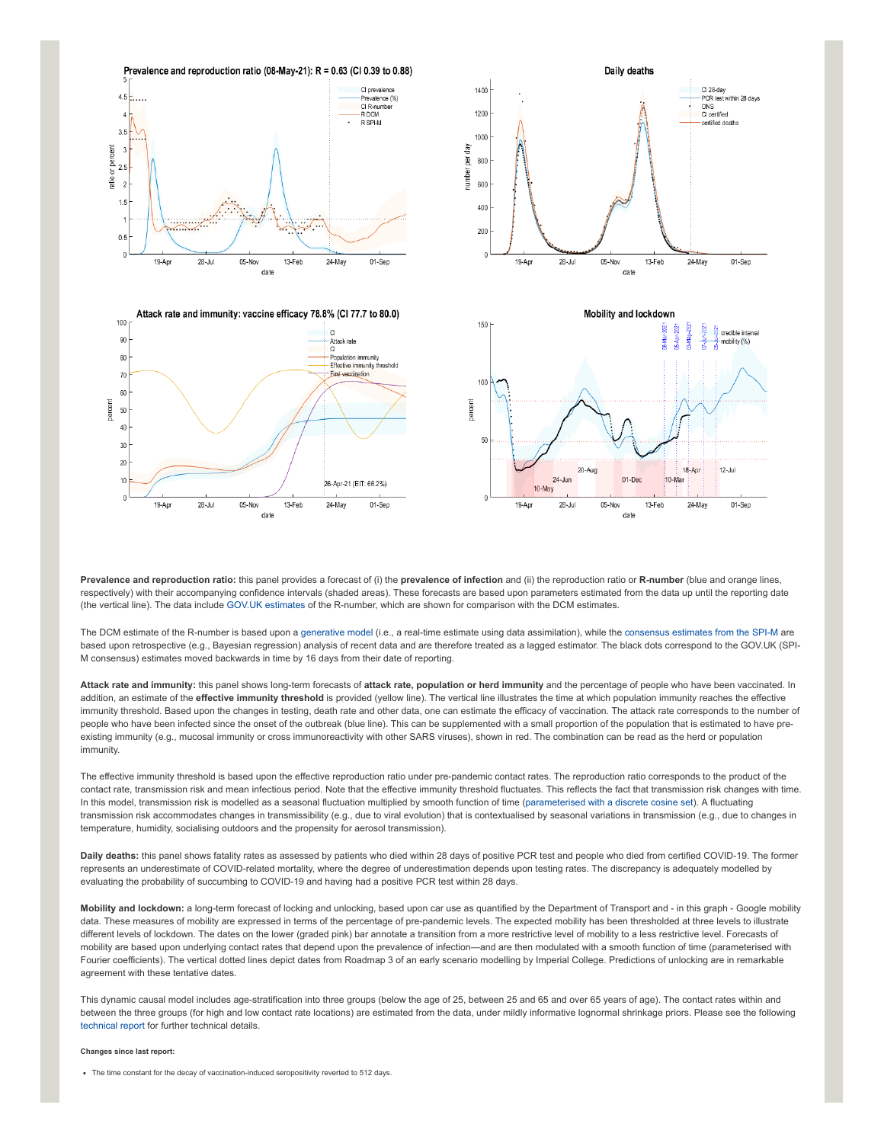

**Prevalence and reproduction ratio:** this panel provides a forecast of (i) the **prevalence of infection** and (ii) the reproduction ratio or **R-number** (blue and orange lines, respectively) with their accompanying confidence intervals (shaded areas). These forecasts are based upon parameters estimated from the data up until the reporting date (the vertical line). The data include [GOV.UK estimates](https://www.gov.uk/guidance/the-r-number-in-the-uk#latest-r-and-growth-rate) of the R-number, which are shown for comparison with the DCM estimates.

The DCM estimate of the R-number is based upon a [generative model](https://en.wikipedia.org/wiki/Generative_model) (i.e., a real-time estimate using data assimilation), while the [consensus estimates from the SPI-M](https://www.gov.uk/guidance/the-r-number-in-the-uk#contents) are based upon retrospective (e.g., Bayesian regression) analysis of recent data and are therefore treated as a lagged estimator. The black dots correspond to the GOV.UK (SPI-M consensus) estimates moved backwards in time by 16 days from their date of reporting.

**Attack rate and immunity:** this panel shows long-term forecasts of **attack rate, population or herd immunity** and the percentage of people who have been vaccinated. In addition, an estimate of the *effective immunity threshold* is provided (yellow line). The vertical line illustrates the time at which population immunity reaches the effective immunity threshold. Based upon the changes in testing, death rate and other data, one can estimate the efficacy of vaccination. The attack rate corresponds to the number of people who have been infected since the onset of the outbreak (blue line). This can be supplemented with a small proportion of the population that is estimated to have preexisting immunity (e.g., mucosal immunity or cross immunoreactivity with other SARS viruses), shown in red. The combination can be read as the herd or population immunity.

The effective immunity threshold is based upon the effective reproduction ratio under pre-pandemic contact rates. The reproduction ratio corresponds to the product of the contact rate, transmission risk and mean infectious period. Note that the effective immunity threshold fluctuates. This reflects the fact that transmission risk changes with time. In this model, transmission risk is modelled as a seasonal fluctuation multiplied by smooth function of time ([parameterised with a discrete cosine set](https://www.medrxiv.org/content/10.1101/2021.01.10.21249520v1)). A fluctuating transmission risk accommodates changes in transmissibility (e.g., due to viral evolution) that is contextualised by seasonal variations in transmission (e.g., due to changes in temperature, humidity, socialising outdoors and the propensity for aerosol transmission).

**Daily deaths:** this panel shows fatality rates as assessed by patients who died within 28 days of positive PCR test and people who died from certified COVID-19. The former represents an underestimate of COVID-related mortality, where the degree of underestimation depends upon testing rates. The discrepancy is adequately modelled by evaluating the probability of succumbing to COVID-19 and having had a positive PCR test within 28 days.

**Mobility and lockdown:** a long-term forecast of locking and unlocking, based upon car use as quantified by the Department of Transport and - in this graph - Google mobility data. These measures of mobility are expressed in terms of the percentage of pre-pandemic levels. The expected mobility has been thresholded at three levels to illustrate different levels of lockdown. The dates on the lower (graded pink) bar annotate a transition from a more restrictive level of mobility to a less restrictive level. Forecasts of mobility are based upon underlying contact rates that depend upon the prevalence of infection—and are then modulated with a smooth function of time (parameterised with Fourier coefficients). The vertical dotted lines depict dates from Roadmap 3 of an early scenario modelling by Imperial College. Predictions of unlocking are in remarkable agreement with these tentative dates.

This dynamic causal model includes age-stratification into three groups (below the age of 25, between 25 and 65 and over 65 years of age). The contact rates within and between the three groups (for high and low contact rate locations) are estimated from the data, under mildly informative lognormal shrinkage priors. Please see the following [technical report](https://arxiv.org/abs/2011.12400) for further technical details.

## **Changes since last report:**

The time constant for the decay of vaccination-induced seropositivity reverted to 512 days.